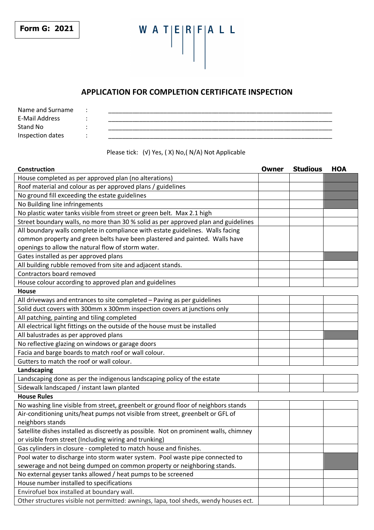**Form G: 2021** 

# W A T $|E|R|F|A$  L L  $\mathbb{R}$

## **APPLICATION FOR COMPLETION CERTIFICATE INSPECTION**

Name and Surname : E-Mail Address  $\qquad \qquad :$ Stand No : \_\_\_\_\_\_\_\_\_\_\_\_\_\_\_\_\_\_\_\_\_\_\_\_\_\_\_\_\_\_\_\_\_\_\_\_\_\_\_\_\_\_\_\_\_\_\_\_\_\_\_\_\_\_\_\_\_\_\_\_\_\_\_\_\_  $\blacksquare$  Inspection dates  $\begin{array}{ccc} \vdots & \vdots & \vdots \end{array}$ 

## Please tick: (√) Yes, ( X) No,( N/A) Not Applicable

| Construction                                                                          | Owner | <b>Studious</b> | <b>HOA</b> |  |
|---------------------------------------------------------------------------------------|-------|-----------------|------------|--|
| House completed as per approved plan (no alterations)                                 |       |                 |            |  |
| Roof material and colour as per approved plans / guidelines                           |       |                 |            |  |
| No ground fill exceeding the estate guidelines                                        |       |                 |            |  |
| No Building line infringements                                                        |       |                 |            |  |
| No plastic water tanks visible from street or green belt. Max 2.1 high                |       |                 |            |  |
| Street boundary walls, no more than 30 % solid as per approved plan and guidelines    |       |                 |            |  |
| All boundary walls complete in compliance with estate guidelines. Walls facing        |       |                 |            |  |
| common property and green belts have been plastered and painted. Walls have           |       |                 |            |  |
| openings to allow the natural flow of storm water.                                    |       |                 |            |  |
| Gates installed as per approved plans                                                 |       |                 |            |  |
| All building rubble removed from site and adjacent stands.                            |       |                 |            |  |
| Contractors board removed                                                             |       |                 |            |  |
| House colour according to approved plan and guidelines                                |       |                 |            |  |
| House                                                                                 |       |                 |            |  |
| All driveways and entrances to site completed - Paving as per guidelines              |       |                 |            |  |
| Solid duct covers with 300mm x 300mm inspection covers at junctions only              |       |                 |            |  |
| All patching, painting and tiling completed                                           |       |                 |            |  |
| All electrical light fittings on the outside of the house must be installed           |       |                 |            |  |
| All balustrades as per approved plans                                                 |       |                 |            |  |
| No reflective glazing on windows or garage doors                                      |       |                 |            |  |
| Facia and barge boards to match roof or wall colour.                                  |       |                 |            |  |
| Gutters to match the roof or wall colour.                                             |       |                 |            |  |
| Landscaping                                                                           |       |                 |            |  |
| Landscaping done as per the indigenous landscaping policy of the estate               |       |                 |            |  |
| Sidewalk landscaped / instant lawn planted                                            |       |                 |            |  |
| <b>House Rules</b>                                                                    |       |                 |            |  |
| No washing line visible from street, greenbelt or ground floor of neighbors stands    |       |                 |            |  |
| Air-conditioning units/heat pumps not visible from street, greenbelt or GFL of        |       |                 |            |  |
| neighbors stands                                                                      |       |                 |            |  |
| Satellite dishes installed as discreetly as possible. Not on prominent walls, chimney |       |                 |            |  |
| or visible from street (Including wiring and trunking)                                |       |                 |            |  |
| Gas cylinders in closure - completed to match house and finishes.                     |       |                 |            |  |
| Pool water to discharge into storm water system. Pool waste pipe connected to         |       |                 |            |  |
| sewerage and not being dumped on common property or neighboring stands.               |       |                 |            |  |
| No external geyser tanks allowed / heat pumps to be screened                          |       |                 |            |  |
| House number installed to specifications                                              |       |                 |            |  |
| Envirofuel box installed at boundary wall.                                            |       |                 |            |  |
| Other structures visible not permitted: awnings, lapa, tool sheds, wendy houses ect.  |       |                 |            |  |